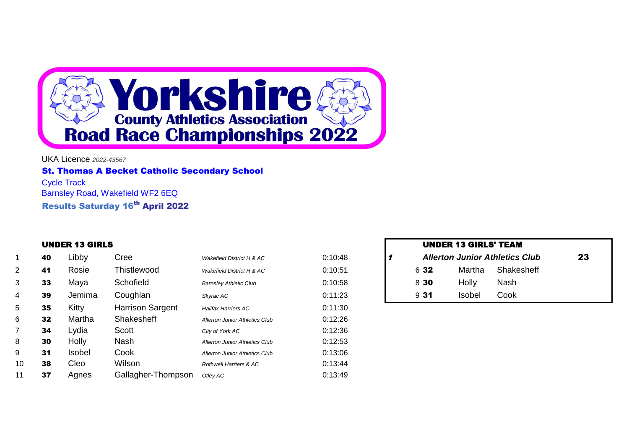

UKA Licence *2022-43567* St. Thomas A Becket Catholic Secondary School Cycle Track Barnsley Road, Wakefield WF2 6EQ Results Saturday 16<sup>th</sup> April 2022

### **UNDER 13 GIRLS**

|                | 40 | Libby         | Cree               | <b>Wakefield District H &amp; AC</b>  | 0:10:48 |      |        | <b>Allerton Junior Athletics Club</b> | 23 |
|----------------|----|---------------|--------------------|---------------------------------------|---------|------|--------|---------------------------------------|----|
| $\overline{2}$ | 41 | Rosie         | Thistlewood        | Wakefield District H & AC             | 0:10:51 | 6 32 | Martha | Shakesheff                            |    |
| 3              | 33 | Maya          | Schofield          | <b>Barnsley Athletic Club</b>         | 0:10:58 | 8 30 | Holly  | Nash                                  |    |
| 4              | 39 | Jemima        | Coughlan           | Skyrac AC                             | 0:11:23 | 931  | Isobel | Cook                                  |    |
| 5              | 35 | Kitty         | Harrison Sargent   | <b>Halifax Harriers AC</b>            | 0:11:30 |      |        |                                       |    |
| 6.             | 32 | Martha        | Shakesheff         | <b>Allerton Junior Athletics Club</b> | 0:12:26 |      |        |                                       |    |
|                | 34 | Lydia         | Scott              | City of York AC                       | 0:12:36 |      |        |                                       |    |
| 8              | 30 | Holly         | Nash               | <b>Allerton Junior Athletics Club</b> | 0:12:53 |      |        |                                       |    |
| 9              | 31 | <b>Isobel</b> | Cook               | <b>Allerton Junior Athletics Club</b> | 0:13:06 |      |        |                                       |    |
| 10             | 38 | Cleo          | Wilson             | Rothwell Harriers & AC                | 0:13:44 |      |        |                                       |    |
| 11             | 37 | Agnes         | Gallagher-Thompson | Otley AC                              | 0:13:49 |      |        |                                       |    |

| <b>UNDER 13 GIRLS' TEAM</b> |        |                                       |    |
|-----------------------------|--------|---------------------------------------|----|
|                             |        | <b>Allerton Junior Athletics Club</b> | 23 |
| 6 32                        |        | Martha Shakesheff                     |    |
| 8 30                        | Holly  | Nash                                  |    |
| 931                         | Isobel | Cook                                  |    |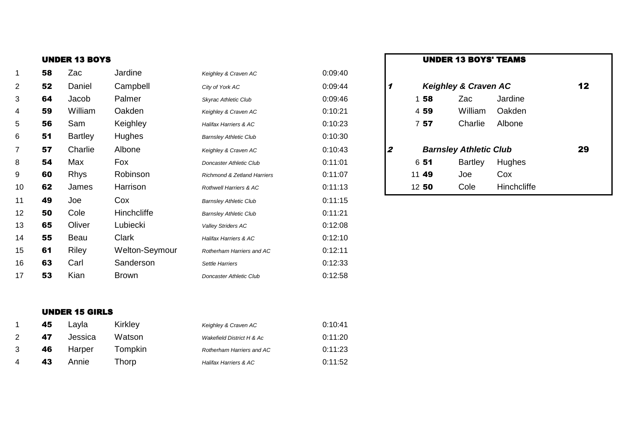| 1              | 58 | Zac            | Jardine        | Keighley & Craven AC                   | 0:09:40 |                  |                               |                                 |             |    |
|----------------|----|----------------|----------------|----------------------------------------|---------|------------------|-------------------------------|---------------------------------|-------------|----|
| $\overline{2}$ | 52 | Daniel         | Campbell       | City of York AC                        | 0:09:44 | 1                |                               | <b>Keighley &amp; Craven AC</b> |             | 12 |
| 3              | 64 | Jacob          | Palmer         | Skyrac Athletic Club                   | 0:09:46 |                  | 58                            | Zac                             | Jardine     |    |
| 4              | 59 | William        | Oakden         | Keighley & Craven AC                   | 0:10:21 |                  | 4 59                          | William                         | Oakden      |    |
| 5              | 56 | Sam            | Keighley       | Halifax Harriers & AC                  | 0:10:23 |                  | 757                           | Charlie                         | Albone      |    |
| 6              | 51 | <b>Bartley</b> | Hughes         | <b>Barnsley Athletic Club</b>          | 0:10:30 |                  |                               |                                 |             |    |
| 7              | 57 | Charlie        | Albone         | Keighley & Craven AC                   | 0:10:43 | $\boldsymbol{z}$ | <b>Barnsley Athletic Club</b> |                                 | 29          |    |
| 8              | 54 | Max            | Fox            | <b>Doncaster Athletic Club</b>         | 0:11:01 |                  | 6 51                          | <b>Bartley</b>                  | Hughes      |    |
| 9              | 60 | <b>Rhys</b>    | Robinson       | <b>Richmond &amp; Zetland Harriers</b> | 0:11:07 |                  | 11 49                         | Joe                             | Cox         |    |
| 10             | 62 | James          | Harrison       | <b>Rothwell Harriers &amp; AC</b>      | 0:11:13 |                  | 1250                          | Cole                            | Hinchcliffe |    |
| 11             | 49 | Joe            | Cox            | <b>Barnsley Athletic Club</b>          | 0:11:15 |                  |                               |                                 |             |    |
| 12             | 50 | Cole           | Hinchcliffe    | <b>Barnsley Athletic Club</b>          | 0:11:21 |                  |                               |                                 |             |    |
| 13             | 65 | Oliver         | Lubiecki       | Valley Striders AC                     | 0:12:08 |                  |                               |                                 |             |    |
| 14             | 55 | Beau           | Clark          | Halifax Harriers & AC                  | 0:12:10 |                  |                               |                                 |             |    |
| 15             | 61 | Riley          | Welton-Seymour | Rotherham Harriers and AC              | 0:12:11 |                  |                               |                                 |             |    |
| 16             | 63 | Carl           | Sanderson      | Settle Harriers                        | 0:12:33 |                  |                               |                                 |             |    |
| 17             | 53 | Kian           | <b>Brown</b>   | <b>Doncaster Athletic Club</b>         | 0:12:58 |                  |                               |                                 |             |    |

| UNDER 13 BOYS |        |          |                      |         |  | <b>UNDER 13 BOYS' TEAMS</b>     |
|---------------|--------|----------|----------------------|---------|--|---------------------------------|
| 58            | Zac    | Jardine  | Keighley & Craven AC | 0:09:40 |  |                                 |
| 52            | Daniel | Campbell | City of York AC      | 0:09:44 |  | <b>Keighley &amp; Craven AC</b> |

| 158   | Zac                           | Jardine     |    |  |
|-------|-------------------------------|-------------|----|--|
| 4 59  | William                       | Oakden      |    |  |
| 757   | Charlie                       | Albone      |    |  |
|       |                               |             |    |  |
|       | <b>Barnsley Athletic Club</b> |             | 29 |  |
| 651   | <b>Bartley</b>                | Hughes      |    |  |
| 11 49 | Joe                           | Cox         |    |  |
|       |                               |             |    |  |
| 12 50 | Cole                          | Hinchcliffe |    |  |

# UNDER 15 GIRLS

|   | 45 | Lavla   | Kirkley | Keighley & Craven AC             | 0:10:41 |
|---|----|---------|---------|----------------------------------|---------|
|   | 47 | Jessica | Watson  | Wakefield District H & Ac        | 0:11:20 |
|   | 46 | Harper  | Tompkin | Rotherham Harriers and AC        | 0:11:23 |
| 4 | 43 | Annie   | Thorp   | <b>Halifax Harriers &amp; AC</b> | 0:11:52 |